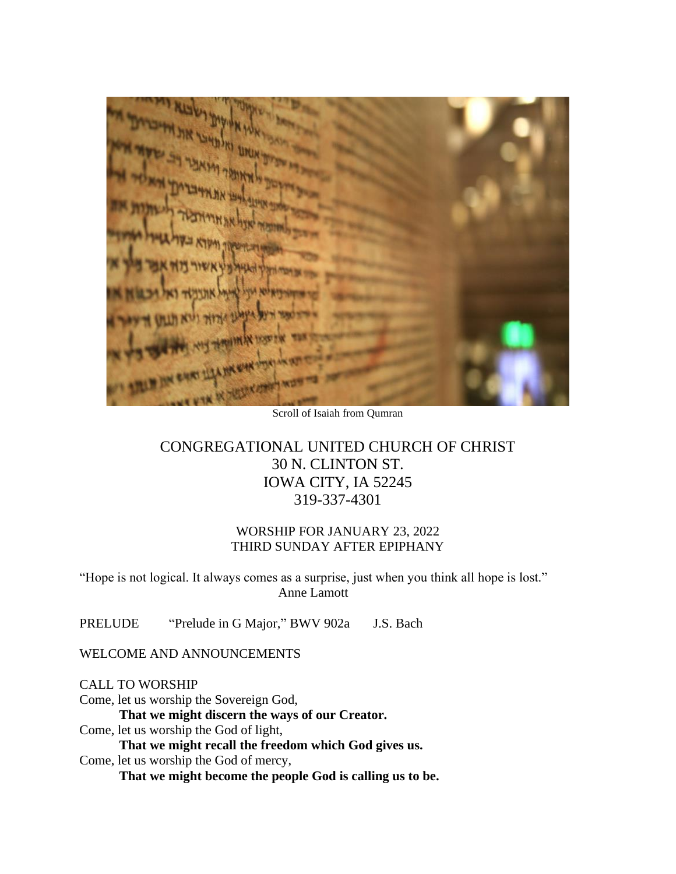Scroll of Isaiah from Qumran

## CONGREGATIONAL UNITED CHURCH OF CHRIST 30 N. CLINTON ST. IOWA CITY, IA 52245 319-337-4301

### WORSHIP FOR JANUARY 23, 2022 THIRD SUNDAY AFTER EPIPHANY

"Hope is not logical. It always comes as a surprise, just when you think all hope is lost." Anne Lamott

PRELUDE "Prelude in G Major," BWV 902a J.S. Bach

WELCOME AND ANNOUNCEMENTS

CALL TO WORSHIP

Come, let us worship the Sovereign God, **That we might discern the ways of our Creator.** Come, let us worship the God of light, **That we might recall the freedom which God gives us.** Come, let us worship the God of mercy, **That we might become the people God is calling us to be.**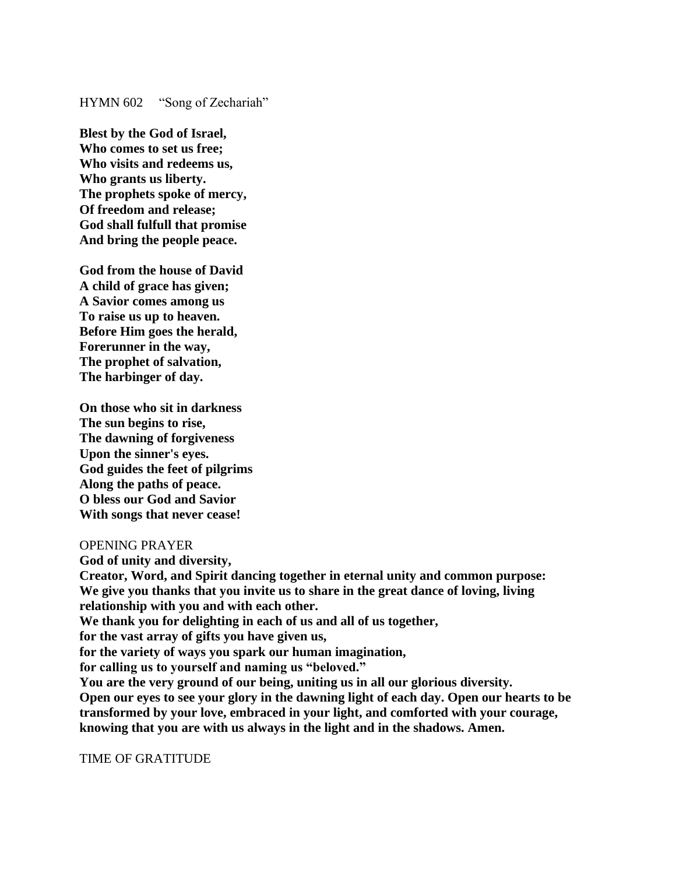#### HYMN 602 "Song of Zechariah"

**Blest by the God of Israel, Who comes to set us free; Who visits and redeems us, Who grants us liberty. The prophets spoke of mercy, Of freedom and release; God shall fulfull that promise And bring the people peace.**

**God from the house of David A child of grace has given; A Savior comes among us To raise us up to heaven. Before Him goes the herald, Forerunner in the way, The prophet of salvation, The harbinger of day.**

**On those who sit in darkness The sun begins to rise, The dawning of forgiveness Upon the sinner's eyes. God guides the feet of pilgrims Along the paths of peace. O bless our God and Savior With songs that never cease!**

#### OPENING PRAYER

**God of unity and diversity, Creator, Word, and Spirit dancing together in eternal unity and common purpose: We give you thanks that you invite us to share in the great dance of loving, living relationship with you and with each other. We thank you for delighting in each of us and all of us together, for the vast array of gifts you have given us, for the variety of ways you spark our human imagination, for calling us to yourself and naming us "beloved." You are the very ground of our being, uniting us in all our glorious diversity. Open our eyes to see your glory in the dawning light of each day. Open our hearts to be transformed by your love, embraced in your light, and comforted with your courage, knowing that you are with us always in the light and in the shadows. Amen.** 

TIME OF GRATITUDE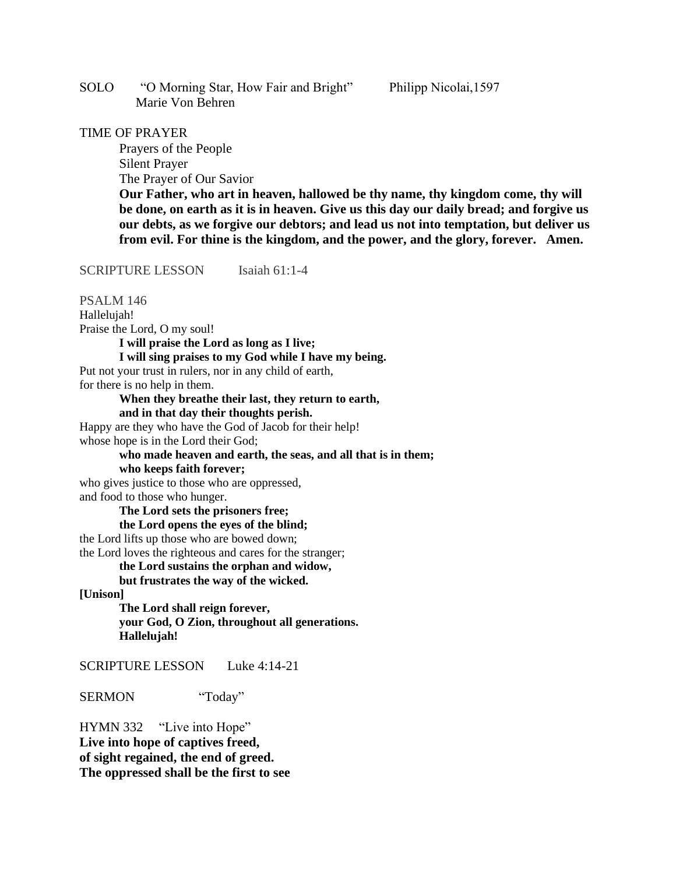SOLO "O Morning Star, How Fair and Bright" Philipp Nicolai,1597 Marie Von Behren

#### TIME OF PRAYER

Prayers of the People Silent Prayer The Prayer of Our Savior

**Our Father, who art in heaven, hallowed be thy name, thy kingdom come, thy will be done, on earth as it is in heaven. Give us this day our daily bread; and forgive us our debts, as we forgive our debtors; and lead us not into temptation, but deliver us from evil. For thine is the kingdom, and the power, and the glory, forever. Amen.**

SCRIPTURE LESSON Isaiah 61:1-4

PSALM 146

Hallelujah! Praise the Lord, O my soul! **I will praise the Lord as long as I live; I will sing praises to my God while I have my being.** Put not your trust in rulers, nor in any child of earth, for there is no help in them. **When they breathe their last, they return to earth, and in that day their thoughts perish.** Happy are they who have the God of Jacob for their help! whose hope is in the Lord their God; **who made heaven and earth, the seas, and all that is in them; who keeps faith forever;** who gives justice to those who are oppressed, and food to those who hunger. **The Lord sets the prisoners free; the Lord opens the eyes of the blind;** the Lord lifts up those who are bowed down; the Lord loves the righteous and cares for the stranger; **the Lord sustains the orphan and widow,**

**but frustrates the way of the wicked.**

**[Unison]**

**The Lord shall reign forever, your God, O Zion, throughout all generations. Hallelujah!**

SCRIPTURE LESSON Luke 4:14-21

SERMON "Today"

HYMN 332 "Live into Hope" **Live into hope of captives freed, of sight regained, the end of greed. The oppressed shall be the first to see**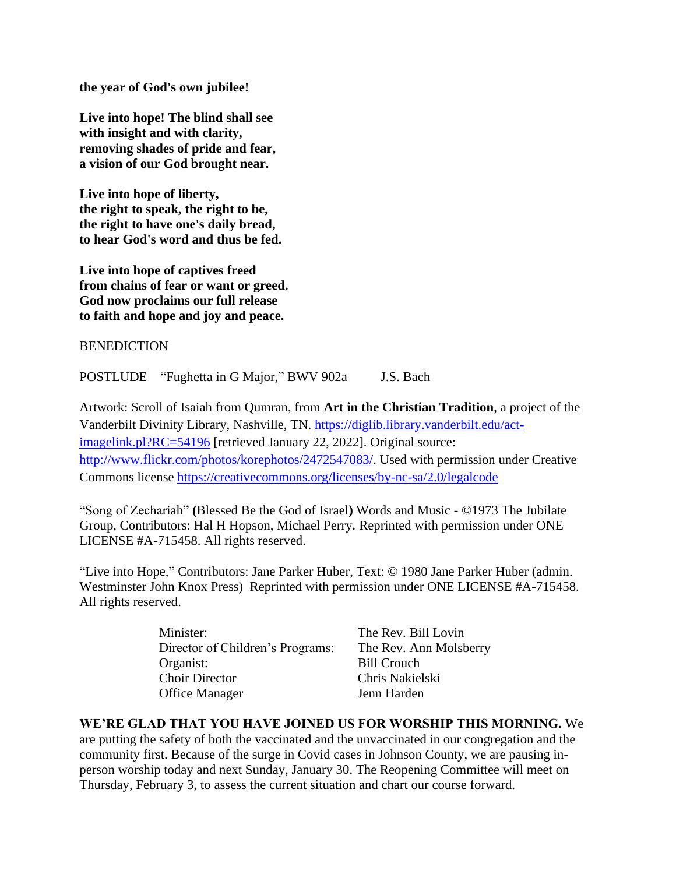**the year of God's own jubilee!**

**Live into hope! The blind shall see with insight and with clarity, removing shades of pride and fear, a vision of our God brought near.**

**Live into hope of liberty, the right to speak, the right to be, the right to have one's daily bread, to hear God's word and thus be fed.**

**Live into hope of captives freed from chains of fear or want or greed. God now proclaims our full release to faith and hope and joy and peace.**

BENEDICTION

POSTLUDE "Fughetta in G Major," BWV 902a J.S. Bach

Artwork: Scroll of Isaiah from Qumran, from **Art in the Christian Tradition**, a project of the Vanderbilt Divinity Library, Nashville, TN. [https://diglib.library.vanderbilt.edu/act](https://diglib.library.vanderbilt.edu/act-imagelink.pl?RC=54196)[imagelink.pl?RC=54196](https://diglib.library.vanderbilt.edu/act-imagelink.pl?RC=54196) [retrieved January 22, 2022]. Original source: [http://www.flickr.com/photos/korephotos/2472547083/.](http://www.flickr.com/photos/korephotos/2472547083/) Used with permission under Creative Commons license<https://creativecommons.org/licenses/by-nc-sa/2.0/legalcode>

"Song of Zechariah" **(**Blessed Be the God of Israel**)** Words and Music - ©1973 The Jubilate Group, Contributors: Hal H Hopson, Michael Perry*.* Reprinted with permission under ONE LICENSE #A-715458. All rights reserved.

"Live into Hope," Contributors: Jane Parker Huber, Text: © 1980 Jane Parker Huber (admin. Westminster John Knox Press) Reprinted with permission under ONE LICENSE #A-715458. All rights reserved.

| Minister:                        | The Rev. Bill Lovin    |
|----------------------------------|------------------------|
| Director of Children's Programs: | The Rev. Ann Molsberry |
| Organist:                        | <b>Bill Crouch</b>     |
| <b>Choir Director</b>            | Chris Nakielski        |
| <b>Office Manager</b>            | Jenn Harden            |

## **WE'RE GLAD THAT YOU HAVE JOINED US FOR WORSHIP THIS MORNING.** We

are putting the safety of both the vaccinated and the unvaccinated in our congregation and the community first. Because of the surge in Covid cases in Johnson County, we are pausing inperson worship today and next Sunday, January 30. The Reopening Committee will meet on Thursday, February 3, to assess the current situation and chart our course forward.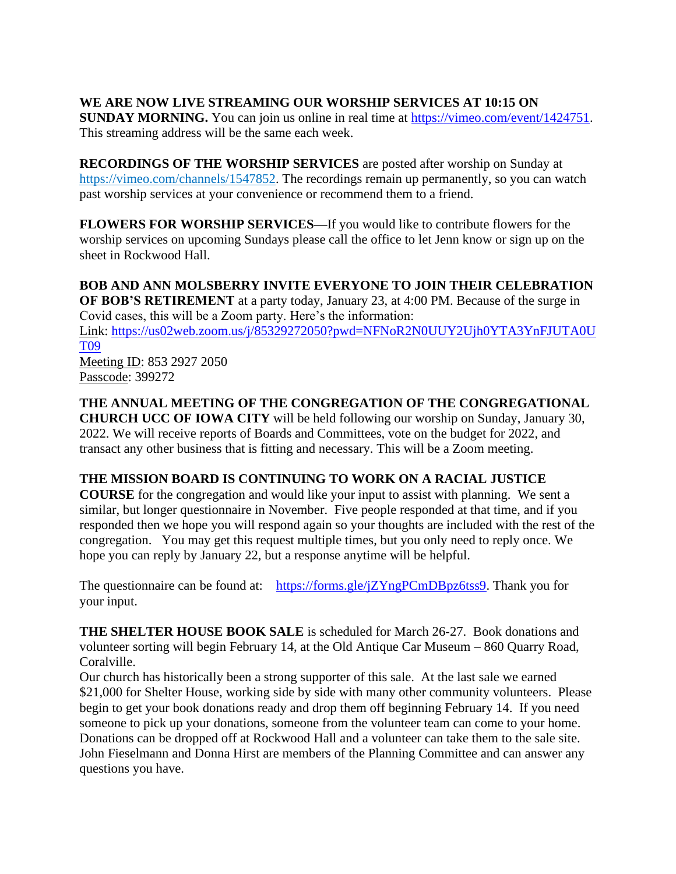## **WE ARE NOW LIVE STREAMING OUR WORSHIP SERVICES AT 10:15 ON**

**SUNDAY MORNING.** You can join us online in real time at [https://vimeo.com/event/1424751.](https://vimeo.com/event/1424751) This streaming address will be the same each week.

**RECORDINGS OF THE WORSHIP SERVICES** are posted after worship on Sunday at [https://vimeo.com/channels/1547852.](https://vimeo.com/channels/1547852) The recordings remain up permanently, so you can watch past worship services at your convenience or recommend them to a friend.

**FLOWERS FOR WORSHIP SERVICES—**If you would like to contribute flowers for the worship services on upcoming Sundays please call the office to let Jenn know or sign up on the sheet in Rockwood Hall.

**BOB AND ANN MOLSBERRY INVITE EVERYONE TO JOIN THEIR CELEBRATION OF BOB'S RETIREMENT** at a party today, January 23, at 4:00 PM. Because of the surge in Covid cases, this will be a Zoom party. Here's the information: Link: [https://us02web.zoom.us/j/85329272050?pwd=NFNoR2N0UUY2Ujh0YTA3YnFJUTA0U](https://us02web.zoom.us/j/85329272050?pwd=NFNoR2N0UUY2Ujh0YTA3YnFJUTA0UT09) [T09](https://us02web.zoom.us/j/85329272050?pwd=NFNoR2N0UUY2Ujh0YTA3YnFJUTA0UT09) Meeting ID: 853 2927 2050 Passcode: 399272

# **THE ANNUAL MEETING OF THE CONGREGATION OF THE CONGREGATIONAL**

**CHURCH UCC OF IOWA CITY** will be held following our worship on Sunday, January 30, 2022. We will receive reports of Boards and Committees, vote on the budget for 2022, and transact any other business that is fitting and necessary. This will be a Zoom meeting.

## **THE MISSION BOARD IS CONTINUING TO WORK ON A RACIAL JUSTICE**

**COURSE** for the congregation and would like your input to assist with planning. We sent a similar, but longer questionnaire in November. Five people responded at that time, and if you responded then we hope you will respond again so your thoughts are included with the rest of the congregation. You may get this request multiple times, but you only need to reply once. We hope you can reply by January 22, but a response anytime will be helpful.

The questionnaire can be found at: [https://forms.gle/jZYngPCmDBpz6tss9.](https://forms.gle/jZYngPCmDBpz6tss9) Thank you for your input.

**THE SHELTER HOUSE BOOK SALE** is scheduled for March 26-27. Book donations and volunteer sorting will begin February 14, at the Old Antique Car Museum – 860 Quarry Road, Coralville.

Our church has historically been a strong supporter of this sale. At the last sale we earned \$21,000 for Shelter House, working side by side with many other community volunteers. Please begin to get your book donations ready and drop them off beginning February 14. If you need someone to pick up your donations, someone from the volunteer team can come to your home. Donations can be dropped off at Rockwood Hall and a volunteer can take them to the sale site. John Fieselmann and Donna Hirst are members of the Planning Committee and can answer any questions you have.